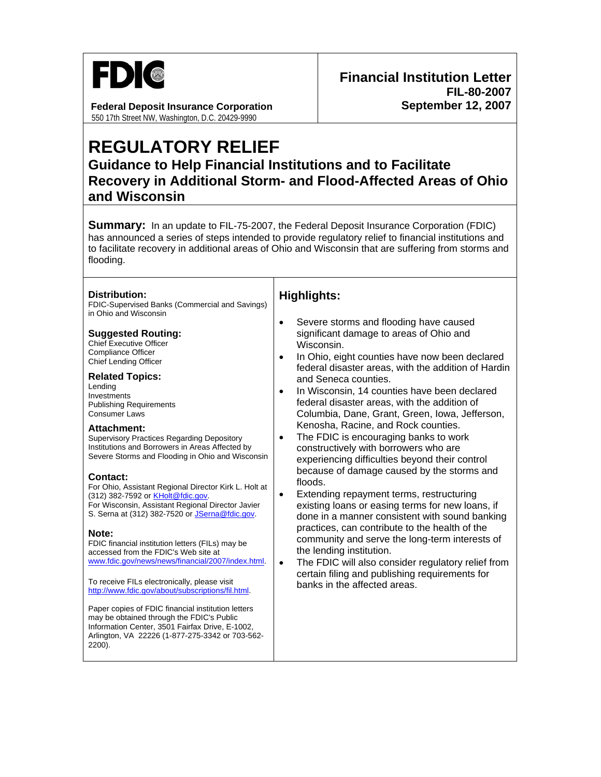

**Federal Deposit Insurance Corporation**  550 17th Street NW, Washington, D.C. 20429-9990

# **REGULATORY RELIEF**

**Guidance to Help Financial Institutions and to Facilitate Recovery in Additional Storm- and Flood-Affected Areas of Ohio and Wisconsin** 

**Summary:** In an update to FIL-75-2007, the Federal Deposit Insurance Corporation (FDIC) has announced a series of steps intended to provide regulatory relief to financial institutions and to facilitate recovery in additional areas of Ohio and Wisconsin that are suffering from storms and flooding.

#### **Distribution:**

FDIC-Supervised Banks (Commercial and Savings) in Ohio and Wisconsin

#### **Suggested Routing:**

Chief Executive Officer Compliance Officer Chief Lending Officer

### **Related Topics:**

Lending Investments Publishing Requirements Consumer Laws

#### **Attachment:**

Supervisory Practices Regarding Depository Institutions and Borrowers in Areas Affected by Severe Storms and Flooding in Ohio and Wisconsin

#### **Contact:**

For Ohio, Assistant Regional Director Kirk L. Holt at (312) 382-7592 or **KHolt@fdic.gov**. For Wisconsin, Assistant Regional Director Javier S. Serna at (312) 382-7520 or [JSerna@fdic.gov](mailto:JSerna@fdic.gov).

#### **Note:**

FDIC financial institution letters (FILs) may be accessed from the FDIC's Web site at [www.fdic.gov/news/news/financial/2007/index.html](http://www.fdic.gov/news/news/financial/2007/index.html).

To receive FILs electronically, please visit [http://www.fdic.gov/about/subscriptions/fil.html.](http://www.fdic.gov/about/subscriptions/index.html)

Paper copies of FDIC financial institution letters may be obtained through the FDIC's Public Information Center, 3501 Fairfax Drive, E-1002, Arlington, VA 22226 (1-877-275-3342 or 703-562- 2200).

# **Highlights:**

- Severe storms and flooding have caused significant damage to areas of Ohio and Wisconsin.
- In Ohio, eight counties have now been declared federal disaster areas, with the addition of Hardin and Seneca counties.
- In Wisconsin, 14 counties have been declared federal disaster areas, with the addition of Columbia, Dane, Grant, Green, Iowa, Jefferson, Kenosha, Racine, and Rock counties.
- The FDIC is encouraging banks to work constructively with borrowers who are experiencing difficulties beyond their control because of damage caused by the storms and floods.
- Extending repayment terms, restructuring existing loans or easing terms for new loans, if done in a manner consistent with sound banking practices, can contribute to the health of the community and serve the long-term interests of the lending institution.
- The FDIC will also consider regulatory relief from certain filing and publishing requirements for banks in the affected areas.